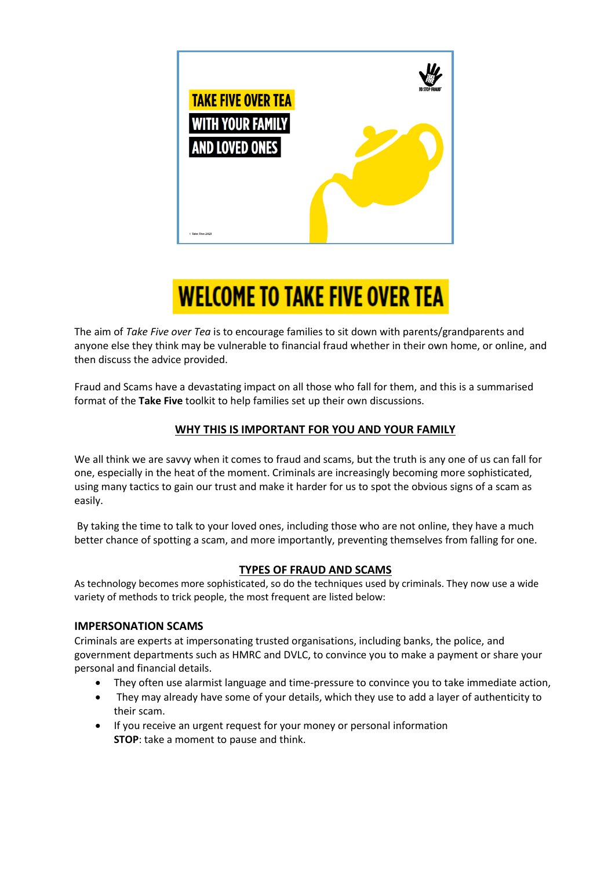

# **WELCOME TO TAKE FIVE OVER TEA**

The aim of *Take Five over Tea* is to encourage families to sit down with parents/grandparents and anyone else they think may be vulnerable to financial fraud whether in their own home, or online, and then discuss the advice provided.

Fraud and Scams have a devastating impact on all those who fall for them, and this is a summarised format of the **Take Five** toolkit to help families set up their own discussions.

# **WHY THIS IS IMPORTANT FOR YOU AND YOUR FAMILY**

We all think we are savvy when it comes to fraud and scams, but the truth is any one of us can fall for one, especially in the heat of the moment. Criminals are increasingly becoming more sophisticated, using many tactics to gain our trust and make it harder for us to spot the obvious signs of a scam as easily.

By taking the time to talk to your loved ones, including those who are not online, they have a much better chance of spotting a scam, and more importantly, preventing themselves from falling for one.

# **TYPES OF FRAUD AND SCAMS**

As technology becomes more sophisticated, so do the techniques used by criminals. They now use a wide variety of methods to trick people, the most frequent are listed below:

## **IMPERSONATION SCAMS**

Criminals are experts at impersonating trusted organisations, including banks, the police, and government departments such as HMRC and DVLC, to convince you to make a payment or share your personal and financial details.

- They often use alarmist language and time-pressure to convince you to take immediate action,
- They may already have some of your details, which they use to add a layer of authenticity to their scam.
- If you receive an urgent request for your money or personal information **STOP**: take a moment to pause and think.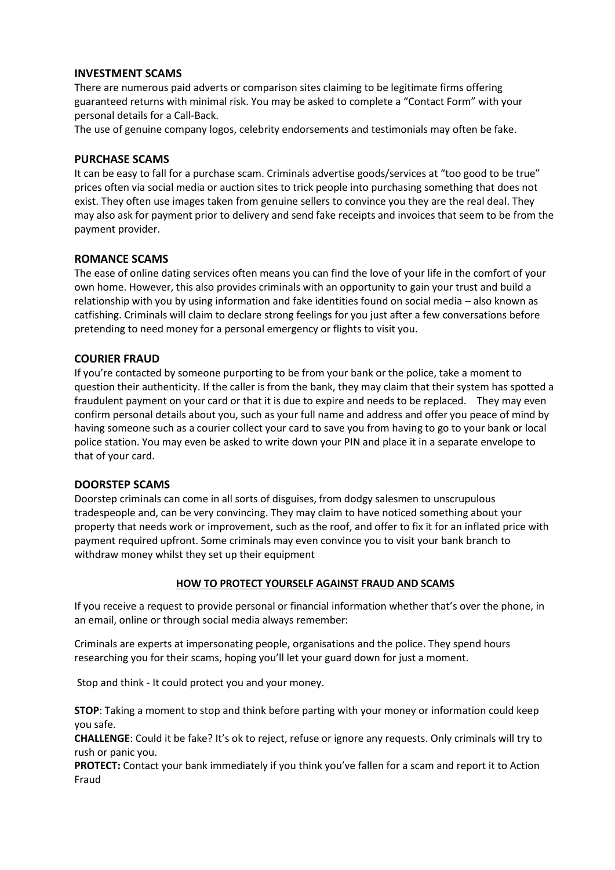## **INVESTMENT SCAMS**

There are numerous paid adverts or comparison sites claiming to be legitimate firms offering guaranteed returns with minimal risk. You may be asked to complete a "Contact Form" with your personal details for a Call-Back.

The use of genuine company logos, celebrity endorsements and testimonials may often be fake.

#### **PURCHASE SCAMS**

It can be easy to fall for a purchase scam. Criminals advertise goods/services at "too good to be true" prices often via social media or auction sites to trick people into purchasing something that does not exist. They often use images taken from genuine sellers to convince you they are the real deal. They may also ask for payment prior to delivery and send fake receipts and invoices that seem to be from the payment provider.

#### **ROMANCE SCAMS**

The ease of online dating services often means you can find the love of your life in the comfort of your own home. However, this also provides criminals with an opportunity to gain your trust and build a relationship with you by using information and fake identities found on social media – also known as catfishing. Criminals will claim to declare strong feelings for you just after a few conversations before pretending to need money for a personal emergency or flights to visit you.

#### **COURIER FRAUD**

If you're contacted by someone purporting to be from your bank or the police, take a moment to question their authenticity. If the caller is from the bank, they may claim that their system has spotted a fraudulent payment on your card or that it is due to expire and needs to be replaced. They may even confirm personal details about you, such as your full name and address and offer you peace of mind by having someone such as a courier collect your card to save you from having to go to your bank or local police station. You may even be asked to write down your PIN and place it in a separate envelope to that of your card.

#### **DOORSTEP SCAMS**

Doorstep criminals can come in all sorts of disguises, from dodgy salesmen to unscrupulous tradespeople and, can be very convincing. They may claim to have noticed something about your property that needs work or improvement, such as the roof, and offer to fix it for an inflated price with payment required upfront. Some criminals may even convince you to visit your bank branch to withdraw money whilst they set up their equipment

#### **HOW TO PROTECT YOURSELF AGAINST FRAUD AND SCAMS**

If you receive a request to provide personal or financial information whether that's over the phone, in an email, online or through social media always remember:

Criminals are experts at impersonating people, organisations and the police. They spend hours researching you for their scams, hoping you'll let your guard down for just a moment.

Stop and think - It could protect you and your money.

**STOP**: Taking a moment to stop and think before parting with your money or information could keep you safe.

**CHALLENGE**: Could it be fake? It's ok to reject, refuse or ignore any requests. Only criminals will try to rush or panic you.

**PROTECT:** Contact your bank immediately if you think you've fallen for a scam and report it to Action Fraud